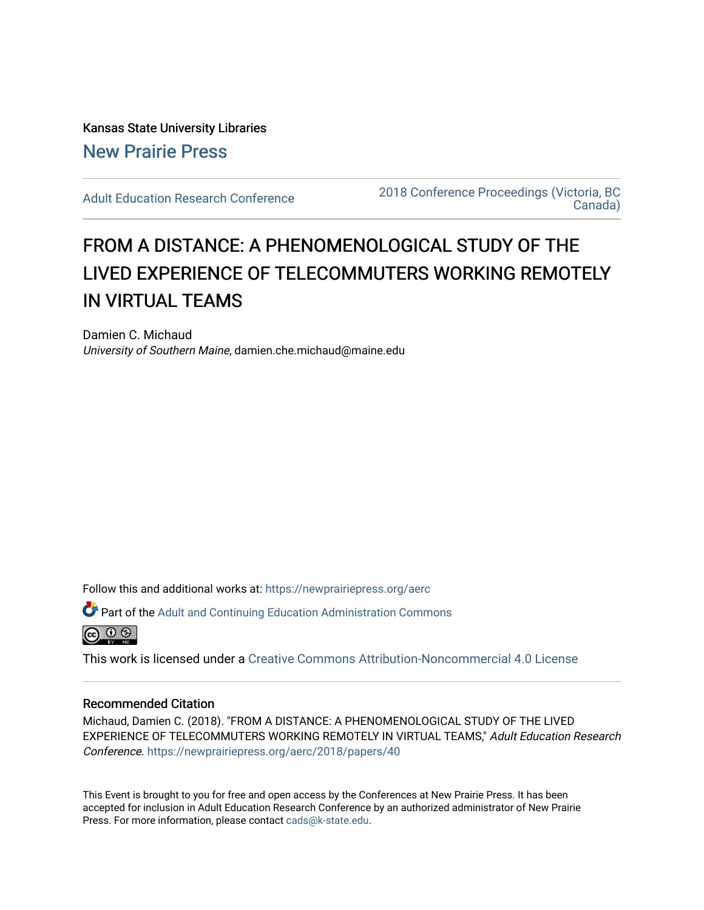Kansas State University Libraries [New Prairie Press](https://newprairiepress.org/) 

[Adult Education Research Conference](https://newprairiepress.org/aerc) [2018 Conference Proceedings \(Victoria, BC](https://newprairiepress.org/aerc/2018)  [Canada\)](https://newprairiepress.org/aerc/2018) 

# FROM A DISTANCE: A PHENOMENOLOGICAL STUDY OF THE LIVED EXPERIENCE OF TELECOMMUTERS WORKING REMOTELY IN VIRTUAL TEAMS

Damien C. Michaud University of Southern Maine, damien.che.michaud@maine.edu

Follow this and additional works at: [https://newprairiepress.org/aerc](https://newprairiepress.org/aerc?utm_source=newprairiepress.org%2Faerc%2F2018%2Fpapers%2F40&utm_medium=PDF&utm_campaign=PDFCoverPages)

Part of the [Adult and Continuing Education Administration Commons](http://network.bepress.com/hgg/discipline/789?utm_source=newprairiepress.org%2Faerc%2F2018%2Fpapers%2F40&utm_medium=PDF&utm_campaign=PDFCoverPages)



This work is licensed under a [Creative Commons Attribution-Noncommercial 4.0 License](https://creativecommons.org/licenses/by-nc/4.0/)

## Recommended Citation

Michaud, Damien C. (2018). "FROM A DISTANCE: A PHENOMENOLOGICAL STUDY OF THE LIVED EXPERIENCE OF TELECOMMUTERS WORKING REMOTELY IN VIRTUAL TEAMS," Adult Education Research Conference.<https://newprairiepress.org/aerc/2018/papers/40>

This Event is brought to you for free and open access by the Conferences at New Prairie Press. It has been accepted for inclusion in Adult Education Research Conference by an authorized administrator of New Prairie Press. For more information, please contact [cads@k-state.edu.](mailto:cads@k-state.edu)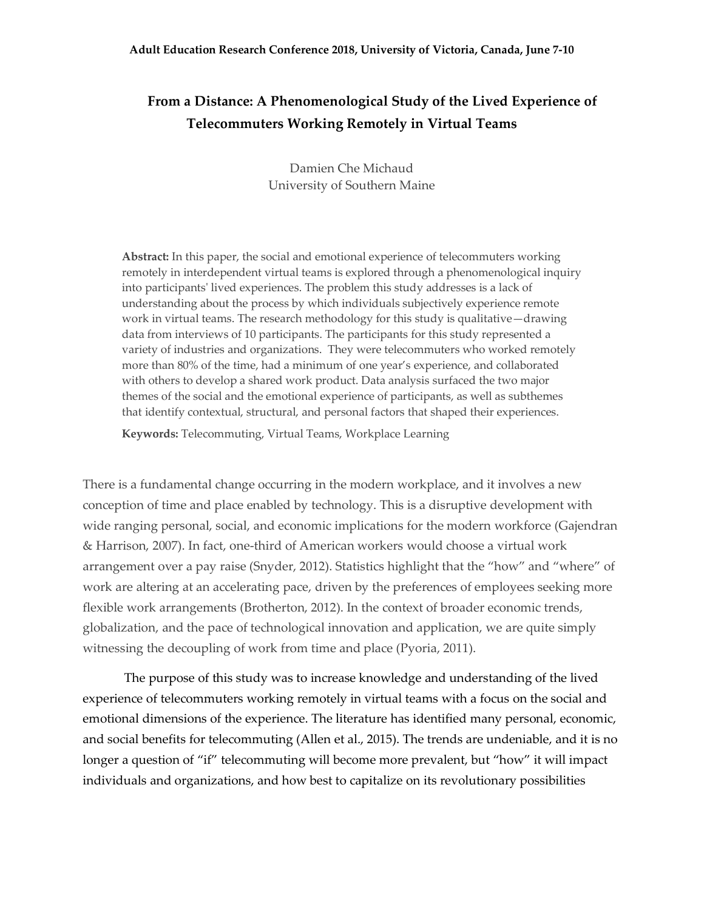# **From a Distance: A Phenomenological Study of the Lived Experience of Telecommuters Working Remotely in Virtual Teams**

Damien Che Michaud University of Southern Maine

**Abstract:** In this paper, the social and emotional experience of telecommuters working remotely in interdependent virtual teams is explored through a phenomenological inquiry into participants' lived experiences. The problem this study addresses is a lack of understanding about the process by which individuals subjectively experience remote work in virtual teams. The research methodology for this study is qualitative—drawing data from interviews of 10 participants. The participants for this study represented a variety of industries and organizations. They were telecommuters who worked remotely more than 80% of the time, had a minimum of one year's experience, and collaborated with others to develop a shared work product. Data analysis surfaced the two major themes of the social and the emotional experience of participants, as well as subthemes that identify contextual, structural, and personal factors that shaped their experiences.

**Keywords:** Telecommuting, Virtual Teams, Workplace Learning

There is a fundamental change occurring in the modern workplace, and it involves a new conception of time and place enabled by technology. This is a disruptive development with wide ranging personal, social, and economic implications for the modern workforce (Gajendran & Harrison, 2007). In fact, one-third of American workers would choose a virtual work arrangement over a pay raise (Snyder, 2012). Statistics highlight that the "how" and "where" of work are altering at an accelerating pace, driven by the preferences of employees seeking more flexible work arrangements (Brotherton, 2012). In the context of broader economic trends, globalization, and the pace of technological innovation and application, we are quite simply witnessing the decoupling of work from time and place (Pyoria, 2011).

The purpose of this study was to increase knowledge and understanding of the lived experience of telecommuters working remotely in virtual teams with a focus on the social and emotional dimensions of the experience. The literature has identified many personal, economic, and social benefits for telecommuting (Allen et al., 2015). The trends are undeniable, and it is no longer a question of "if" telecommuting will become more prevalent, but "how" it will impact individuals and organizations, and how best to capitalize on its revolutionary possibilities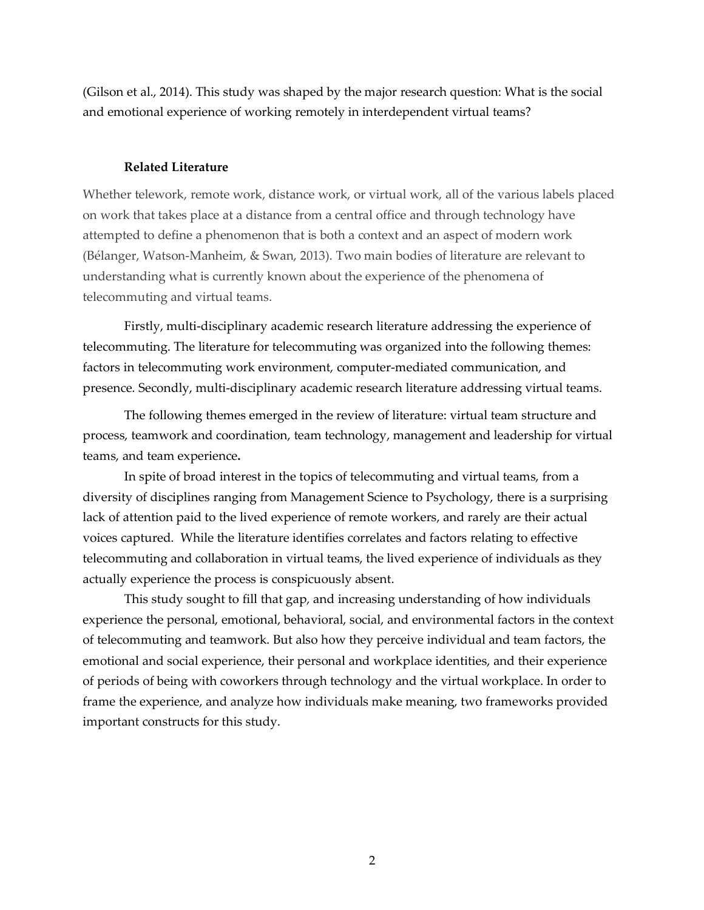(Gilson et al., 2014). This study was shaped by the major research question: What is the social and emotional experience of working remotely in interdependent virtual teams?

#### **Related Literature**

Whether telework, remote work, distance work, or virtual work, all of the various labels placed on work that takes place at a distance from a central office and through technology have attempted to define a phenomenon that is both a context and an aspect of modern work (Bélanger, Watson-Manheim, & Swan, 2013). Two main bodies of literature are relevant to understanding what is currently known about the experience of the phenomena of telecommuting and virtual teams.

Firstly, multi-disciplinary academic research literature addressing the experience of telecommuting. The literature for telecommuting was organized into the following themes: factors in telecommuting work environment, computer-mediated communication, and presence. Secondly, multi-disciplinary academic research literature addressing virtual teams.

The following themes emerged in the review of literature: virtual team structure and process, teamwork and coordination, team technology, management and leadership for virtual teams, and team experience**.**

In spite of broad interest in the topics of telecommuting and virtual teams, from a diversity of disciplines ranging from Management Science to Psychology, there is a surprising lack of attention paid to the lived experience of remote workers, and rarely are their actual voices captured. While the literature identifies correlates and factors relating to effective telecommuting and collaboration in virtual teams, the lived experience of individuals as they actually experience the process is conspicuously absent.

This study sought to fill that gap, and increasing understanding of how individuals experience the personal, emotional, behavioral, social, and environmental factors in the context of telecommuting and teamwork. But also how they perceive individual and team factors, the emotional and social experience, their personal and workplace identities, and their experience of periods of being with coworkers through technology and the virtual workplace. In order to frame the experience, and analyze how individuals make meaning, two frameworks provided important constructs for this study.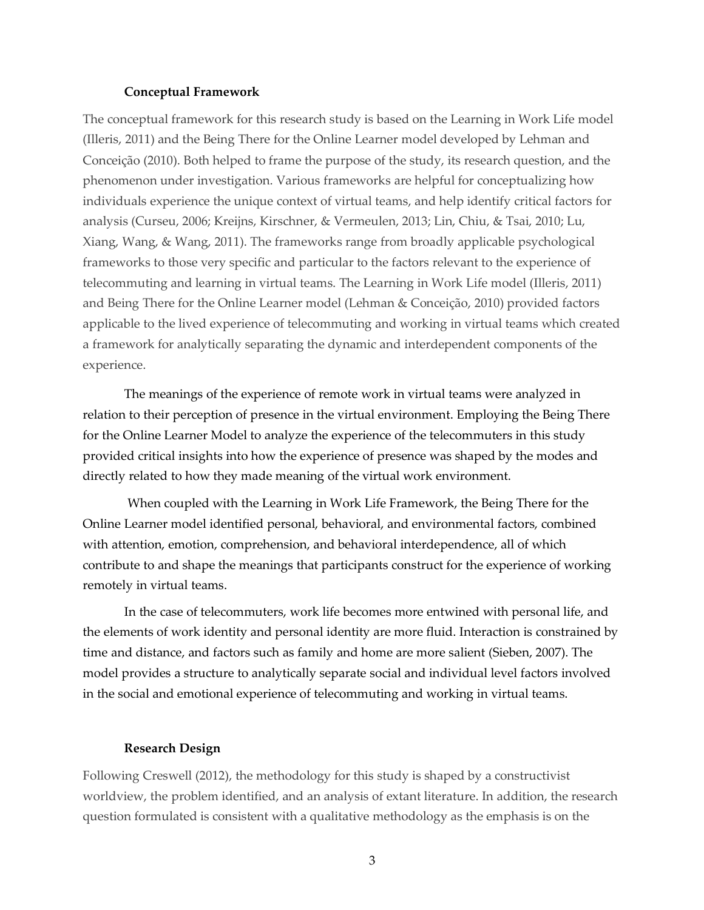#### **Conceptual Framework**

The conceptual framework for this research study is based on the Learning in Work Life model (Illeris, 2011) and the Being There for the Online Learner model developed by Lehman and Conceição (2010). Both helped to frame the purpose of the study, its research question, and the phenomenon under investigation. Various frameworks are helpful for conceptualizing how individuals experience the unique context of virtual teams, and help identify critical factors for analysis (Curseu, 2006; Kreijns, Kirschner, & Vermeulen, 2013; Lin, Chiu, & Tsai, 2010; Lu, Xiang, Wang, & Wang, 2011). The frameworks range from broadly applicable psychological frameworks to those very specific and particular to the factors relevant to the experience of telecommuting and learning in virtual teams. The Learning in Work Life model (Illeris, 2011) and Being There for the Online Learner model (Lehman & Conceição, 2010) provided factors applicable to the lived experience of telecommuting and working in virtual teams which created a framework for analytically separating the dynamic and interdependent components of the experience.

The meanings of the experience of remote work in virtual teams were analyzed in relation to their perception of presence in the virtual environment. Employing the Being There for the Online Learner Model to analyze the experience of the telecommuters in this study provided critical insights into how the experience of presence was shaped by the modes and directly related to how they made meaning of the virtual work environment.

When coupled with the Learning in Work Life Framework, the Being There for the Online Learner model identified personal, behavioral, and environmental factors, combined with attention, emotion, comprehension, and behavioral interdependence, all of which contribute to and shape the meanings that participants construct for the experience of working remotely in virtual teams.

In the case of telecommuters, work life becomes more entwined with personal life, and the elements of work identity and personal identity are more fluid. Interaction is constrained by time and distance, and factors such as family and home are more salient (Sieben, 2007). The model provides a structure to analytically separate social and individual level factors involved in the social and emotional experience of telecommuting and working in virtual teams.

#### **Research Design**

Following Creswell (2012), the methodology for this study is shaped by a constructivist worldview, the problem identified, and an analysis of extant literature. In addition, the research question formulated is consistent with a qualitative methodology as the emphasis is on the

3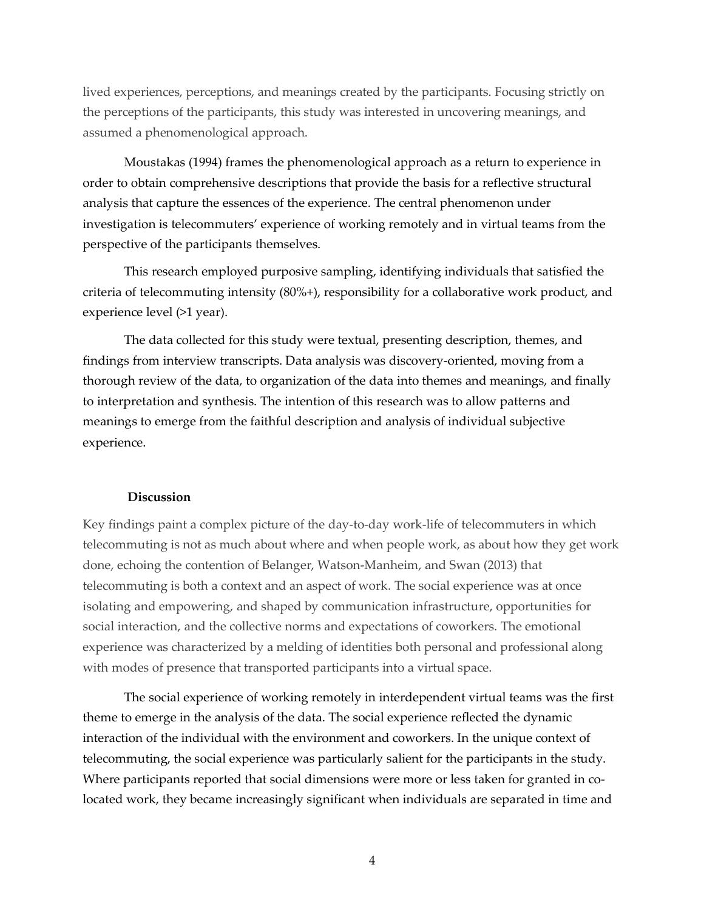lived experiences, perceptions, and meanings created by the participants. Focusing strictly on the perceptions of the participants, this study was interested in uncovering meanings, and assumed a phenomenological approach.

Moustakas (1994) frames the phenomenological approach as a return to experience in order to obtain comprehensive descriptions that provide the basis for a reflective structural analysis that capture the essences of the experience. The central phenomenon under investigation is telecommuters' experience of working remotely and in virtual teams from the perspective of the participants themselves.

This research employed purposive sampling, identifying individuals that satisfied the criteria of telecommuting intensity (80%+), responsibility for a collaborative work product, and experience level (>1 year).

The data collected for this study were textual, presenting description, themes, and findings from interview transcripts. Data analysis was discovery-oriented, moving from a thorough review of the data, to organization of the data into themes and meanings, and finally to interpretation and synthesis. The intention of this research was to allow patterns and meanings to emerge from the faithful description and analysis of individual subjective experience.

#### **Discussion**

Key findings paint a complex picture of the day-to-day work-life of telecommuters in which telecommuting is not as much about where and when people work, as about how they get work done, echoing the contention of Belanger, Watson-Manheim, and Swan (2013) that telecommuting is both a context and an aspect of work. The social experience was at once isolating and empowering, and shaped by communication infrastructure, opportunities for social interaction, and the collective norms and expectations of coworkers. The emotional experience was characterized by a melding of identities both personal and professional along with modes of presence that transported participants into a virtual space.

The social experience of working remotely in interdependent virtual teams was the first theme to emerge in the analysis of the data. The social experience reflected the dynamic interaction of the individual with the environment and coworkers. In the unique context of telecommuting, the social experience was particularly salient for the participants in the study. Where participants reported that social dimensions were more or less taken for granted in colocated work, they became increasingly significant when individuals are separated in time and

4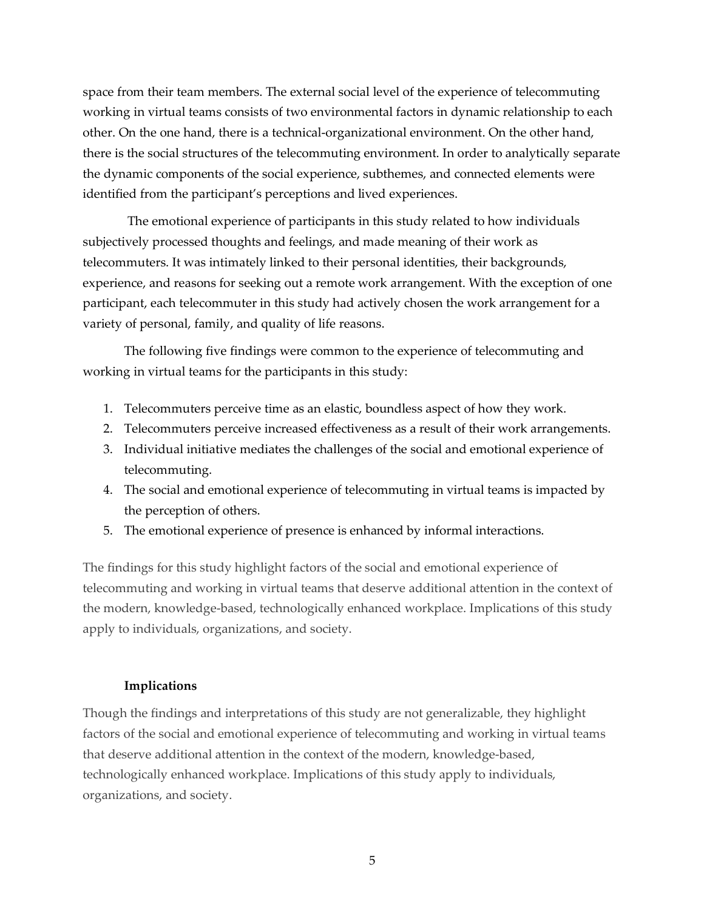space from their team members. The external social level of the experience of telecommuting working in virtual teams consists of two environmental factors in dynamic relationship to each other. On the one hand, there is a technical-organizational environment. On the other hand, there is the social structures of the telecommuting environment. In order to analytically separate the dynamic components of the social experience, subthemes, and connected elements were identified from the participant's perceptions and lived experiences.

The emotional experience of participants in this study related to how individuals subjectively processed thoughts and feelings, and made meaning of their work as telecommuters. It was intimately linked to their personal identities, their backgrounds, experience, and reasons for seeking out a remote work arrangement. With the exception of one participant, each telecommuter in this study had actively chosen the work arrangement for a variety of personal, family, and quality of life reasons.

The following five findings were common to the experience of telecommuting and working in virtual teams for the participants in this study:

- 1. Telecommuters perceive time as an elastic, boundless aspect of how they work.
- 2. Telecommuters perceive increased effectiveness as a result of their work arrangements.
- 3. Individual initiative mediates the challenges of the social and emotional experience of telecommuting.
- 4. The social and emotional experience of telecommuting in virtual teams is impacted by the perception of others.
- 5. The emotional experience of presence is enhanced by informal interactions.

The findings for this study highlight factors of the social and emotional experience of telecommuting and working in virtual teams that deserve additional attention in the context of the modern, knowledge-based, technologically enhanced workplace. Implications of this study apply to individuals, organizations, and society.

## **Implications**

Though the findings and interpretations of this study are not generalizable, they highlight factors of the social and emotional experience of telecommuting and working in virtual teams that deserve additional attention in the context of the modern, knowledge-based, technologically enhanced workplace. Implications of this study apply to individuals, organizations, and society.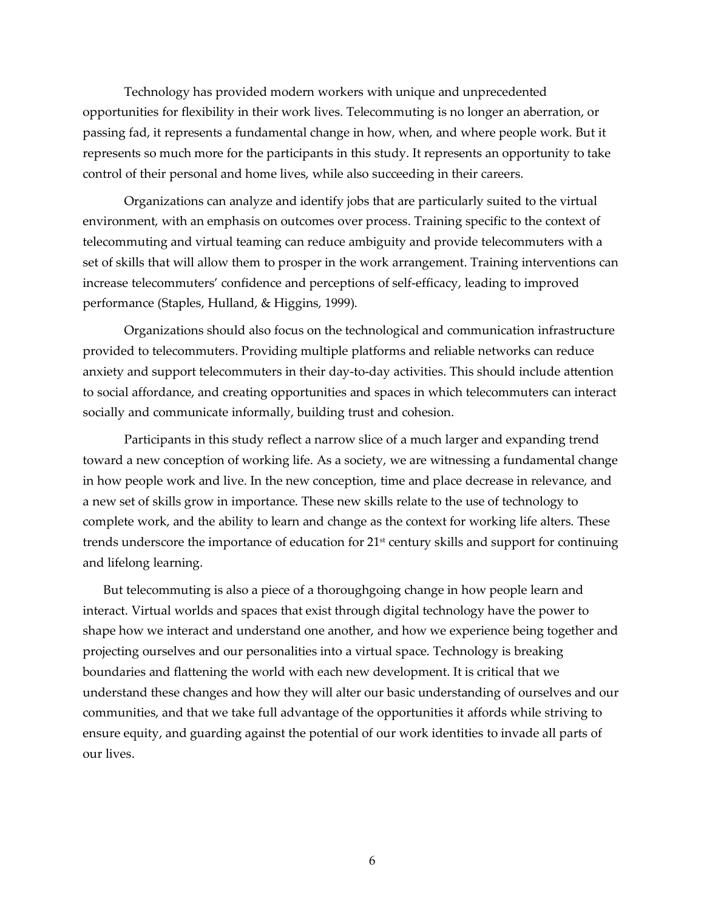Technology has provided modern workers with unique and unprecedented opportunities for flexibility in their work lives. Telecommuting is no longer an aberration, or passing fad, it represents a fundamental change in how, when, and where people work. But it represents so much more for the participants in this study. It represents an opportunity to take control of their personal and home lives, while also succeeding in their careers.

Organizations can analyze and identify jobs that are particularly suited to the virtual environment, with an emphasis on outcomes over process. Training specific to the context of telecommuting and virtual teaming can reduce ambiguity and provide telecommuters with a set of skills that will allow them to prosper in the work arrangement. Training interventions can increase telecommuters' confidence and perceptions of self-efficacy, leading to improved performance (Staples, Hulland, & Higgins, 1999).

Organizations should also focus on the technological and communication infrastructure provided to telecommuters. Providing multiple platforms and reliable networks can reduce anxiety and support telecommuters in their day-to-day activities. This should include attention to social affordance, and creating opportunities and spaces in which telecommuters can interact socially and communicate informally, building trust and cohesion.

Participants in this study reflect a narrow slice of a much larger and expanding trend toward a new conception of working life. As a society, we are witnessing a fundamental change in how people work and live. In the new conception, time and place decrease in relevance, and a new set of skills grow in importance. These new skills relate to the use of technology to complete work, and the ability to learn and change as the context for working life alters. These trends underscore the importance of education for 21<sup>st</sup> century skills and support for continuing and lifelong learning.

But telecommuting is also a piece of a thoroughgoing change in how people learn and interact. Virtual worlds and spaces that exist through digital technology have the power to shape how we interact and understand one another, and how we experience being together and projecting ourselves and our personalities into a virtual space. Technology is breaking boundaries and flattening the world with each new development. It is critical that we understand these changes and how they will alter our basic understanding of ourselves and our communities, and that we take full advantage of the opportunities it affords while striving to ensure equity, and guarding against the potential of our work identities to invade all parts of our lives.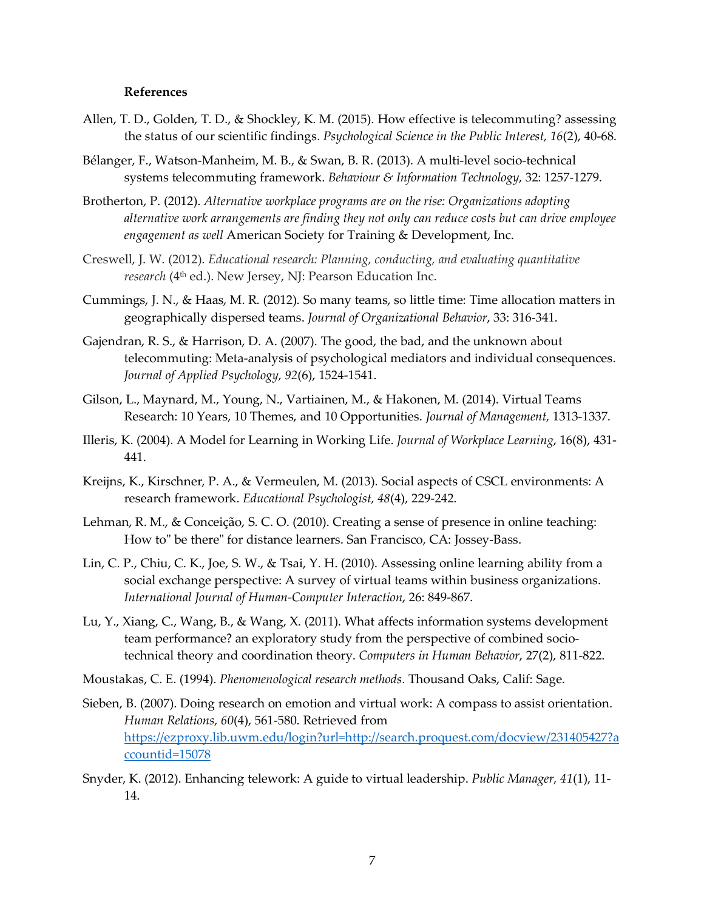#### **References**

- Allen, T. D., Golden, T. D., & Shockley, K. M. (2015). How effective is telecommuting? assessing the status of our scientific findings. *Psychological Science in the Public Interest, 16*(2), 40-68.
- Bélanger, F., Watson-Manheim, M. B., & Swan, B. R. (2013). A multi-level socio-technical systems telecommuting framework. *Behaviour & Information Technology*, 32: 1257-1279.
- Brotherton, P. (2012). *Alternative workplace programs are on the rise: Organizations adopting alternative work arrangements are finding they not only can reduce costs but can drive employee engagement as well* American Society for Training & Development, Inc.
- Creswell, J. W. (2012). *Educational research: Planning, conducting, and evaluating quantitative*  research (4<sup>th</sup> ed.). New Jersey, NJ: Pearson Education Inc.
- Cummings, J. N., & Haas, M. R. (2012). So many teams, so little time: Time allocation matters in geographically dispersed teams. *Journal of Organizational Behavior*, 33: 316-341.
- Gajendran, R. S., & Harrison, D. A. (2007). The good, the bad, and the unknown about telecommuting: Meta-analysis of psychological mediators and individual consequences. *Journal of Applied Psychology, 92*(6), 1524-1541.
- Gilson, L., Maynard, M., Young, N., Vartiainen, M., & Hakonen, M. (2014). Virtual Teams Research: 10 Years, 10 Themes, and 10 Opportunities. *Journal of Management,* 1313-1337.
- Illeris, K. (2004). A Model for Learning in Working Life. *Journal of Workplace Learning*, 16(8), 431- 441.
- Kreijns, K., Kirschner, P. A., & Vermeulen, M. (2013). Social aspects of CSCL environments: A research framework. *Educational Psychologist, 48*(4), 229-242.
- Lehman, R. M., & Conceição, S. C. O. (2010). Creating a sense of presence in online teaching: How to" be there" for distance learners. San Francisco, CA: Jossey-Bass.
- Lin, C. P., Chiu, C. K., Joe, S. W., & Tsai, Y. H. (2010). Assessing online learning ability from a social exchange perspective: A survey of virtual teams within business organizations. *International Journal of Human-Computer Interaction*, 26: 849-867.
- Lu, Y., Xiang, C., Wang, B., & Wang, X. (2011). What affects information systems development team performance? an exploratory study from the perspective of combined sociotechnical theory and coordination theory. *Computers in Human Behavior*, 27(2), 811-822.
- Moustakas, C. E. (1994). *Phenomenological research methods*. Thousand Oaks, Calif: Sage.
- Sieben, B. (2007). Doing research on emotion and virtual work: A compass to assist orientation. *Human Relations, 60*(4), 561-580. Retrieved from https://ezproxy.lib.uwm.edu/login?url=http://search.proquest.com/docview/231405427?a ccountid=15078
- Snyder, K. (2012). Enhancing telework: A guide to virtual leadership. *Public Manager, 41*(1), 11- 14.